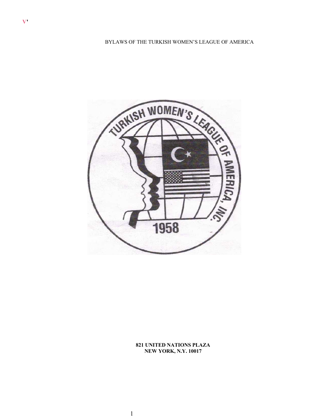

**821 UNITED NATIONS PLAZA NEW YORK, N.Y. 10017**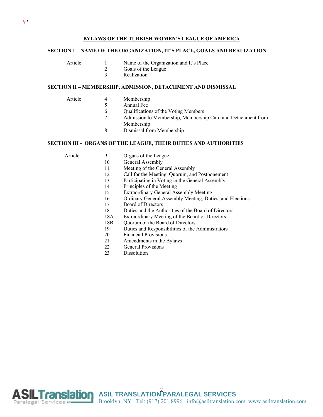# **BYLAWS OF THE TURKISH WOMEN'S LEAGUE OF AMERICA**

# **SECTION 1 – NAME OF THE ORGANIZATION, IT'S PLACE, GOALS AND REALIZATION**

- Article 1 Name of the Organization and It's Place
	- 2 Goals of the League
		- 3 Realization

# **SECTION II – MEMBERSHIP, ADMISSION, DETACHMENT AND DISMISSAL**

- Article 4 Membership
	- 5 Annual Fee
		- 6 Qualifications of the Voting Members
		- 7 Admission to Membership, Membership Card and Detachment from
			- Membership
		- 8 Dismissal from Membership

# **SECTION III - ORGANS OF THE LEAGUE, THEIR DUTIES AND AUTHORITIES**

- Article 9 Organs of the League
	- 10 General Assembly
	- 11 Meeting of the General Assembly
	- 12 Call for the Meeting, Quorum, and Postponement
	- 13 Participating in Voting in the General Assembly
	- 14 Principles of the Meeting
	- 15 Extraordinary General Assembly Meeting
	- 16 Ordinary General Assembly Meeting, Duties, and Elections
	- 17 Board of Directors
	- 18 Duties and the Authorities of the Board of Directors
	- 18A Extraordinary Meeting of the Board of Directors
	- 18B Quorum of the Board of Directors
	- 19 Duties and Responsibilities of the Administrators
	- 20 Financial Provisions
	- 21 Amendments in the Bylaws
	- 22 General Provisions
	- 23 Dissolution



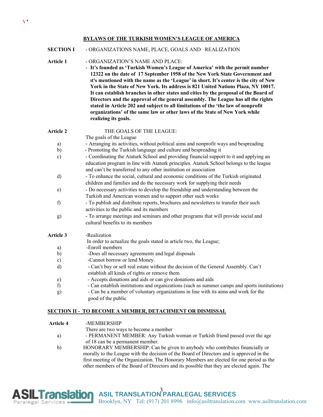## **BYLAWS OF THE TURKISH WOMEN'S LEAGUE OF AMERICA**

# **SECTION I** - ORGANIZATIONS NAME, PLACE, GOALS AND REALIZATION

- **Article 1** ORGANIZATION'S NAME AND PLACE:
	- **It's founded as 'Turkish Women's League of America' with the permit number 12322 on the date of 17 September 1958 of the New York State Government and ıt's mentioned with the name as the 'League' in short. It's center is the city of New York in the State of New York. Its address is 821 United Nations Plaza, NY 10017. It can establish branches in other states and cities by the proposal of the Board of Directors and the approval of the general assembly. The League has all the rights stated in Article 202 and subject to all limitations of the 'the law of nonprofit organizations' of the same law or other laws of the State of New York while realizing its goals.**

| Article 2        | THE GOALS OF THE LEAGUE:                                                                                                                                                                                                                               |
|------------------|--------------------------------------------------------------------------------------------------------------------------------------------------------------------------------------------------------------------------------------------------------|
|                  | The goals of the League                                                                                                                                                                                                                                |
| a)               | - Arranging its activities, without political aims and nonprofit ways and bespreading                                                                                                                                                                  |
| $\mathbf{b}$     | - Promoting the Turkish language and culture and bespreading it                                                                                                                                                                                        |
| $\mathbf{c})$    | - Coordinating the Ataturk School and providing financial support to it and applying an<br>education program in line with Ataturk principles. Ataturk School belongs to the league<br>and can't be transferred to any other institution or association |
| d)               | - To enhance the social, cultural and economic conditions of the Turkish originated                                                                                                                                                                    |
|                  | children and families and do the necessary work for supplying their needs                                                                                                                                                                              |
| $\epsilon$ )     | - Do necessary activities to develop the friendship and understanding between the                                                                                                                                                                      |
|                  | Turkish and American women and to support other such works                                                                                                                                                                                             |
| f                | - To publish and distribute reports, brochures and newsletters to transfer their such<br>activities to the public and its members                                                                                                                      |
| g)               | - To arrange meetings and seminars and other programs that will provide social and<br>cultural benefits to its members                                                                                                                                 |
| <b>Article 3</b> | -Realization                                                                                                                                                                                                                                           |
|                  | In order to actualize the goals stated in article two, the League;                                                                                                                                                                                     |
| a)               | -Enroll members                                                                                                                                                                                                                                        |
| $\mathbf{b}$     | -Does all necessary agreements and legal disposals                                                                                                                                                                                                     |
| $\mathbf{c})$    | -Cannot borrow or lend Money.                                                                                                                                                                                                                          |
| d)               | - Can't buy or sell real estate without the decision of the General Assembly. Can't<br>establish all kinds of rights or remove them                                                                                                                    |
| e)               | - Accepts donations and aids or can give donations and aids                                                                                                                                                                                            |
| f)               | - Can establish institutions and organizations (such as summer camps and sports institutions)                                                                                                                                                          |
| g)               | - Can be a member of voluntary organizations in line with its aims and work for the<br>good of the public                                                                                                                                              |

## **SECTION II - TO BECOME A MEMBER, DETACHMENT OR DISMISSAL**

| Article 4 | -MEMBERSHIP |
|-----------|-------------|
|           |             |

There are two ways to become a member

- a) PERMANENT MEMBER: Any Turkish woman or Turkish friend passed over the age of 18 can be a permanent member.
- b) HONORARY MEMBERSHIP: Can be given to anybody who contributes financially or morally to the League with the decision of the Board of Directors and is approved in the first meeting of the Organization. The Honorary Members are elected for one period as the other members of the Board of Directors and its possible that they are elected again. The

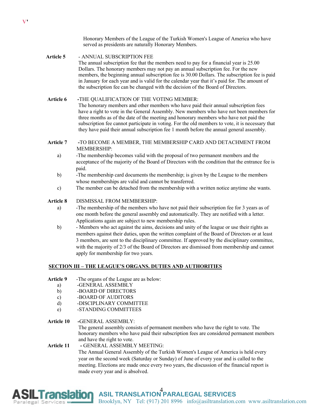Honorary Members of the League of the Turkish Women's League of America who have served as presidents are naturally Honorary Members.

- **Article 5**  ANNUAL SUBSCRIPTION FEE The annual subscription fee that the members need to pay for a financial year is 25.00 Dollars. The honorary members may not pay an annual subscription fee. For the new members, the beginning annual subscription fee is 30.00 Dollars. The subscription fee is paid in January for each year and is valid for the calendar year that it's paid for. The amount of the subscription fee can be changed with the decision of the Board of Directors.
- **Article 6 -**THE QUALIFICATION OF THE VOTING MEMBER: The honorary members and other members who have paid their annual subscription fees have a right to vote in the General Assembly. New members who have not been members for three months as of the date of the meeting and honorary members who have not paid the subscription fee cannot participate in voting. For the old members to vote, it is necessary that they have paid their annual subscription fee 1 month before the annual general assembly.
- **Article 7 -**TO BECOME A MEMBER, THE MEMBERSHIP CARD AND DETACHMENT FROM MEMBERSHIP:
	- a) -The membership becomes valid with the proposal of two permanent members and the acceptance of the majority of the Board of Directors with the condition that the entrance fee is paid.
	- b) -The membership card documents the membership; is given by the League to the members whose memberships are valid and cannot be transferred.
	- c) The member can be detached from the membership with a written notice anytime she wants.

**Article 8** DISMISSAL FROM MEMBERSHIP:

- a) -The membership of the members who have not paid their subscription fee for 3 years as of one month before the general assembly end automatically. They are notified with a letter. Applications again are subject to new membership rules.
- b) Members who act against the aims, decisions and unity of the league or use their rights as members against their duties, upon the written complaint of the Board of Directors or at least 3 members, are sent to the disciplinary committee. If approved by the disciplinary committee, with the majority of 2/3 of the Board of Directors are dismissed from membership and cannot apply for membership for two years.

# **SECTION III – THE LEAGUE'S ORGANS. DUTIES AND AUTHORITIES**

- **Article 9** -The organs of the League are as below:
	- a) -GENERAL ASSEMBLY
	- b) -BOARD OF DIRECTORS
	- c) -BOARD OF AUDITORS
	- d) -DISCIPLINARY COMMITTEE
	- e) -STANDING COMMITTEES

**Article 10 -**GENERAL ASSEMBLY:

The general assembly consists of permanent members who have the right to vote. The honorary members who have paid their subscription fees are considered permanent members and have the right to vote.

# **Article 11 -** GENERAL ASSEMBLY MEETING: The Annual General Assembly of the Turkish Women's League of America is held every

year on the second week (Saturday or Sunday) of June of every year and is called to the meeting. Elections are made once every two years, the discussion of the financial report is made every year and is absolved.

**Franslation** ASIL TRANSLATION PARALEGAL SERVICES Brooklyn, NY Tel: (917) 201 8996 info@asiltranslation.com www.asiltranslation.com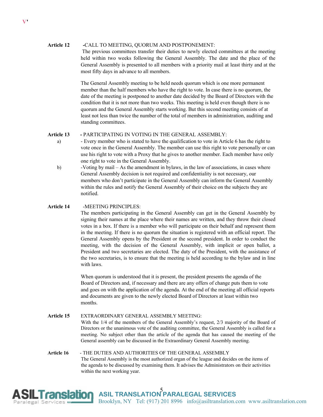## **Article 12 -**CALL TO MEETING, QUORUM AND POSTPONEMENT:

The previous committees transfer their duties to newly elected committees at the meeting held within two weeks following the General Assembly. The date and the place of the General Assembly is presented to all members with a priority mail at least thirty and at the most fifty days in advance to all members.

The General Assembly meeting to be held needs quorum which is one more permanent member than the half members who have the right to vote. In case there is no quorum, the date of the meeting is postponed to another date decided by the Board of Directors with the condition that it is not more than two weeks. This meeting is held even though there is no quorum and the General Assembly starts working. But this second meeting consists of at least not less than twice the number of the total of members in administration, auditing and standing committees.

## **Article 13 -** PARTICIPATING IN VOTING IN THE GENERAL ASSEMBLY:

- a) Every member who is stated to have the qualification to vote in Article 6 has the right to vote once in the General Assembly. The member can use this right to vote personally or can use his right to vote with a Proxy that he gives to another member. Each member have only one right to vote in the General Assembly.
- b) -Voting by mail As the amendment in bylaws, in the law of associations, in cases where General Assembly decision is not required and confidentiality is not necessary, our members who don't participate in the General Assembly can inform the General Assembly within the rules and notify the General Assembly of their choice on the subjects they are notified.

# **Article 14** -MEETING PRINCIPLES:

The members participating in the General Assembly can get in the General Assembly by signing their names at the place where their names are written, and they throw their closed votes in a box. If there is a member who will participate on their behalf and represent them in the meeting. If there is no quorum the situation is registered with an official report. The General Assembly opens by the President or the second president. In order to conduct the meeting, with the decision of the General Assembly, with implicit or open ballot, a President and two secretaries are elected. The duty of the President, with the assistance of the two secretaries, is to ensure that the meeting is held according to the bylaw and in line with laws.

When quorum is understood that it is present, the president presents the agenda of the Board of Directors and, if necessary and there are any offers of change puts them to vote and goes on with the application of the agenda. At the end of the meeting all official reports and documents are given to the newly elected Board of Directors at least within two months.

**Article 15** EXTRAORDINARY GENERAL ASSEMBLY MEETING: With the 1/4 of the members of the General Assembly's request, 2/3 majority of the Board of Directors or the unanimous vote of the auditing committee, the General Assembly is called for a meeting. No subject other than the article of the agenda that has caused the meeting of the General assembly can be discussed in the Extraordinary General Assembly meeting.

**Article 16** - THE DUTIES AND AUTHORITIES OF THE GENERAL ASSEMBLY The General Assembly is the most authorized organ of the league and decides on the items of the agenda to be discussed by examining them. It advises the Administrators on their activities within the next working year.

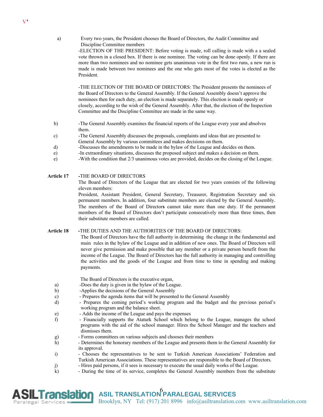a) Every two years, the President chooses the Board of Directors, the Audit Committee and Discipline Committee members

> -ELECTION OF THE PRESIDENT: Before voting is made, roll calling is made with a a sealed vote thrown in a closed box. If there is one nominee. The voting can be done openly. If there are more than two nominees and no nominee gets unanimous vote in the first two runs, a new run is made is made between two nominees and the one who gets most of the votes is elected as the President.

-THE ELECTION OF THE BOARD OF DIRECTORS: The President presents the nominees of the Board of Directors to the General Assembly. If the General Assembly doesn't approve the nominees then for each duty, an election is made separately. This election is made openly or closely, according to the wish of the General Assembly. After that, the election of the Inspection Committee and the Discipline Committee are made in the same way.

- b) -The General Assembly examines the financial reports of the League every year and absolves them.
- c) -The General Assembly discusses the proposals, complaints and ideas that are presented to General Assembly by various committees and makes decisions on them.
- d) -Discusses the amendments to be made in the bylaw of the League and decides on them.
- e) -In extraordinary situations, discusses the proposed subject and makes a decision on them.
- e) -With the condition that 2/3 unanimous votes are provided, decides on the closing of the League.

### **Article 17 -**THE BOARD OF DIRECTORS

The Board of Directors of the League that are elected for two years consists of the following eleven members:

President, Assistant President, General Secretary, Treasurer, Registration Secretary and six permanent members. In addition, four substitute members are elected by the General Assembly. The members of the Board of Director**s** cannot take more than one duty. If the permanent members of the Board of Directors don't participate consecutively more than three times, then their substitute members are called.

## **Article 18 -**THE DUTIES AND THE AUTHORITIES OF THE BOARD OF DIRECTORS:

The Board of Directors have the full authority in determining the change in the fundamental and main rules in the bylaw of the League and in addition of new ones. The Board of Directors will never give permission and make possible that any member or a private person benefit from the income of the League. The Board of Directors has the full authority in managing and controlling the activities and the goods of the League and from time to time in spending and making payments.

The Board of Directors is the executive organ,

- a) -Does the duty is given in the bylaw of the League.
- b) -Applies the decisions of the General Assembly
- c) Prepares the agenda items that will be presented to the General Assembly
- d) Prepares the coming period's working program and the budget and the previous period's working program and the balance sheet.
- e) Adds the income of the League and pays the expenses
- f) Financially supports the Ataturk School which belong to the League, manages the school programs with the aid of the school manager. Hires the School Manager and the teachers and dismisses them.
- g) Forms committees on various subjects and chooses their members
- h) Determines the honorary members of the League and presents them to the General Assembly for its approval.
- i) Chooses the representatives to be sent to Turkish American Associations' Federation and Turkish American Associations. These representatives are responsible to the Board of Directors.
- j) Hires paid persons, if it sees is necessary to execute the usual daily works of the League.
- k) During the time of its service, completes the General Assembly members from the substitute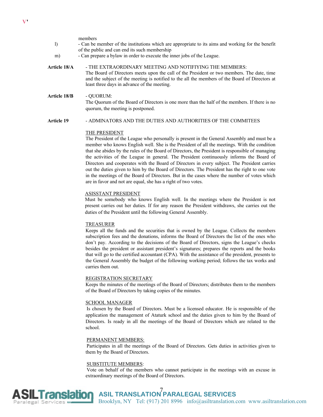members l) - Can be member of the institutions which are appropriate to its aims and working for the benefit of the public and can end its such membership m) - Can prepare a bylaw in order to execute the inner jobs of the League. **Article 18/A** - THE EXTRAORDINARY MEETING AND NOTIFIYING THE MEMBERS: The Board of Directors meets upon the call of the President or two members. The date, time and the subject of the meeting is notified to the all the members of the Board of Directors at least three days in advance of the meeting. **Article 18/B** - QUORUM: The Quorum of the Board of Directors is one more than the half of the members. If there is no quorum, the meeting is postponed.

## **Article 19** - ADMINATORS AND THE DUTIES AND AUTHORITIES OF THE COMMITEES

#### THE PRESIDENT

The President of the League who personally is present in the General Assembly and must be a member who knows English well. She is the President of all the meetings. With the condition that she abides by the rules of the Board of Directors, the President is responsible of managing the activities of the League in general. The President continuously informs the Board of Directors and cooperates with the Board of Directors in every subject. The President carries out the duties given to him by the Board of Directors. The President has the right to one vote in the meetings of the Board of Directors. But in the cases where the number of votes which are in favor and not are equal, she has a right of two votes.

## ASISSTANT PRESIDENT

Must be somebody who knows English well. In the meetings where the President is not present carries out her duties. If for any reason the President withdraws, she carries out the duties of the President until the following General Assembly.

#### TREASURER

Keeps all the funds and the securities that is owned by the League. Collects the members subscription fees and the donations, informs the Board of Directors the list of the ones who don't pay. According to the decisions of the Board of Directors, signs the League's checks besides the president or assistant president's signatures; prepares the reports and the books that will go to the certified accountant (CPA). With the assistance of the president, presents to the General Assembly the budget of the following working period; follows the tax works and carries them out.

#### REGISTRATION SECRETARY

Keeps the minutes of the meetings of the Board of Directors; distributes them to the members of the Board of Directors by taking copies of the minutes.

#### SCHOOL MANAGER

Is chosen by the Board of Directors. Must be a licensed educator. He is responsible of the application the management of Ataturk school and the duties given to him by the Board of Directors. Is ready in all the meetings of the Board of Directors which are related to the school.

#### PERMANENT MEMBERS:

Participates in all the meetings of the Board of Directors. Gets duties in activities given to them by the Board of Directors.

#### SUBSTITUTE MEMBERS:

Vote on behalf of the members who cannot participate in the meetings with an excuse in extraordinary meetings of the Board of Directors.

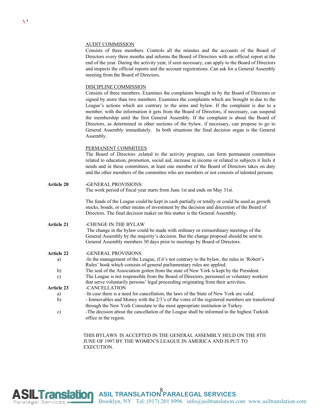#### AUDIT COMMISSION

Consists of three members. Controls all the minutes and the accounts of the Board of Directors every three months and informs the Board of Directors with an official report at the end of the year. During the activity year, if seen necessary, can apply to the Board of Directors and inspects the official reports and the account registrations. Can ask for a General Assembly meeting from the Board of Directors.

# DISCIPLINE COMMISSION

Consists of three members. Examines the complaints brought in by the Board of Directors or signed by more than two members. Examines the complaints which are brought in due to the League's actions which are contrary to the aims and bylaw. If the complaint is due to a member, with the information it gets from the Board of Directors, if necessary, can suspend the membership until the first General Assembly. If the complaint is about the Board of Directors, as determined in other sections of the bylaw, if necessary, can propose to go to General Assembly immediately. In both situations the final decision organ is the General Assembly.

#### PERMANENT COMMITEES

The Board of Directors ,related to the activity program, can form permanent committees related to education, promotion, social aid, increase in income or related to subjects it feels it needs and in these committees, at least one member of the Board of Directors takes on duty and the other members of the committee who are members or not consists of talented persons.

**Article 20 -**GENERAL PROVISIONS: The work period of fiscal year starts from June 1st and ends on May 31st.

> The funds of the League could be kept in cash partially or totally or could be used as growth stocks, bonds, or other means of investment by the decision and discretion of the Board of Directors. The final decision maker on this matter is the General Assembly.

## **Article 21** -CHENGE IN THE BYLAW

The change in the bylaw could be made with ordinary or extraordinary meetings of the General Assembly by the majority's decision. But the change proposal should be sent to General Assembly members 30 days prior to meetings by Board of Directors.

#### **Article 22** -GENERAL PROVISIONS

| a)                | -In the management of the League, if it's not contrary to the bylaw, the rules in 'Robert's     |  |
|-------------------|-------------------------------------------------------------------------------------------------|--|
|                   | Rules' book which consists of general parliamentary rules are applied.                          |  |
| b)                | The seal of the Association gotten from the state of New York is kept by the President.         |  |
| C)                | The League is not responsible from the Board of Directors, personnel or voluntary workers       |  |
|                   | that serve voluntarily persons' legal proceeding originating from their activities.             |  |
| <b>Article 23</b> | -CANCELLATION                                                                                   |  |
| a)                | -In case there is a need for cancellation, the laws of the State of New York are valid.         |  |
| b)                | - Immovables and Money with the $2/3$ 's of the votes of the registered members are transferred |  |
|                   | through the New York Consulate to the most appropriate institution in Turkey.                   |  |
| $\sim$            | The decision about the cancellation of the League shall be informed to the highest Turkish      |  |

c) -The decision about the cancellation of the League shall be informed to the highest Turkish office in the region.

> THIS BYLAWS IS ACCEPTED IN THE GENERAL ASSEMBLY HELD ON THE 8TH JUNE OF 1997 BY THE WOMEN'S LEAGUE IN AMERICA AND IS PUT TO EXECUTION.